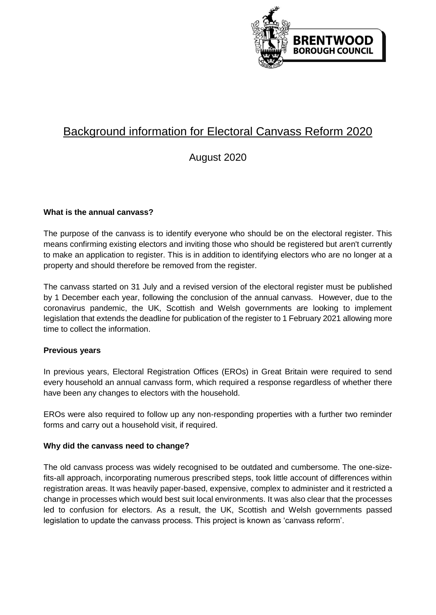

# Background information for Electoral Canvass Reform 2020

# August 2020

# **What is the annual canvass?**

The purpose of the canvass is to identify everyone who should be on the electoral register. This means confirming existing electors and inviting those who should be registered but aren't currently to make an application to register. This is in addition to identifying electors who are no longer at a property and should therefore be removed from the register.

The canvass started on 31 July and a revised version of the electoral register must be published by 1 December each year, following the conclusion of the annual canvass. However, due to the coronavirus pandemic, the UK, Scottish and Welsh governments are looking to implement legislation that extends the deadline for publication of the register to 1 February 2021 allowing more time to collect the information.

## **Previous years**

In previous years, Electoral Registration Offices (EROs) in Great Britain were required to send every household an annual canvass form, which required a response regardless of whether there have been any changes to electors with the household.

EROs were also required to follow up any non-responding properties with a further two reminder forms and carry out a household visit, if required.

## **Why did the canvass need to change?**

The old canvass process was widely recognised to be outdated and cumbersome. The one-sizefits-all approach, incorporating numerous prescribed steps, took little account of differences within registration areas. It was heavily paper-based, expensive, complex to administer and it restricted a change in processes which would best suit local environments. It was also clear that the processes led to confusion for electors. As a result, the UK, Scottish and Welsh governments passed legislation to update the canvass process. This project is known as 'canvass reform'.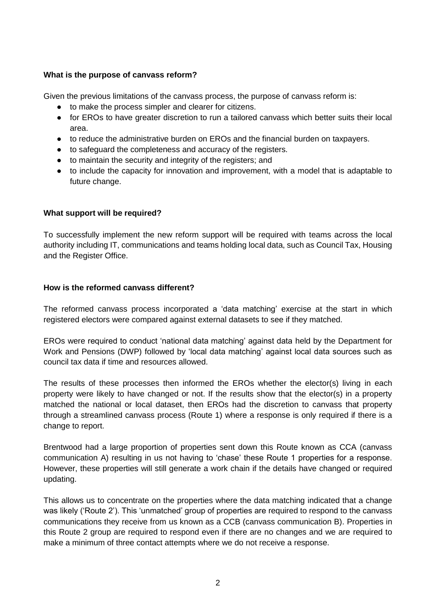# **What is the purpose of canvass reform?**

Given the previous limitations of the canvass process, the purpose of canvass reform is:

- to make the process simpler and clearer for citizens.
- for EROs to have greater discretion to run a tailored canvass which better suits their local area.
- to reduce the administrative burden on EROs and the financial burden on taxpayers.
- to safeguard the completeness and accuracy of the registers.
- to maintain the security and integrity of the registers; and
- to include the capacity for innovation and improvement, with a model that is adaptable to future change.

# **What support will be required?**

To successfully implement the new reform support will be required with teams across the local authority including IT, communications and teams holding local data, such as Council Tax, Housing and the Register Office.

# **How is the reformed canvass different?**

The reformed canvass process incorporated a 'data matching' exercise at the start in which registered electors were compared against external datasets to see if they matched.

EROs were required to conduct 'national data matching' against data held by the Department for Work and Pensions (DWP) followed by 'local data matching' against local data sources such as council tax data if time and resources allowed.

The results of these processes then informed the EROs whether the elector(s) living in each property were likely to have changed or not. If the results show that the elector(s) in a property matched the national or local dataset, then EROs had the discretion to canvass that property through a streamlined canvass process (Route 1) where a response is only required if there is a change to report.

Brentwood had a large proportion of properties sent down this Route known as CCA (canvass communication A) resulting in us not having to 'chase' these Route 1 properties for a response. However, these properties will still generate a work chain if the details have changed or required updating.

This allows us to concentrate on the properties where the data matching indicated that a change was likely ('Route 2'). This 'unmatched' group of properties are required to respond to the canvass communications they receive from us known as a CCB (canvass communication B). Properties in this Route 2 group are required to respond even if there are no changes and we are required to make a minimum of three contact attempts where we do not receive a response.